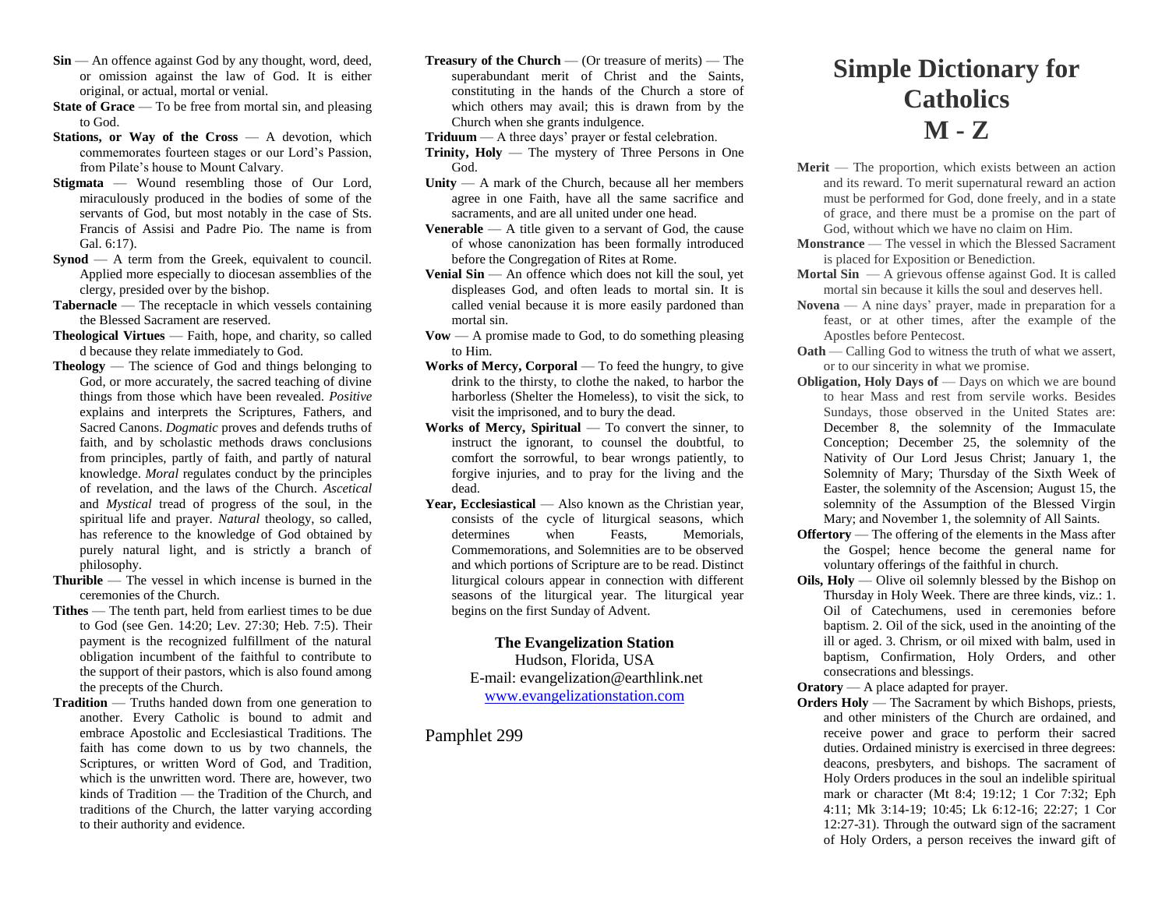- **Sin** An offence against God by any thought, word, deed, or omission against the law of God. It is either original, or actual, mortal or venial.
- **State of Grace** To be free from mortal sin, and pleasing to God.
- **Stations, or Way of the Cross** A devotion, which commemorates fourteen stages or our Lord's Passion, from Pilate's house to Mount Calvary.
- **Stigmata**  Wound resembling those of Our Lord, miraculously produced in the bodies of some of the servants of God, but most notably in the case of Sts. Francis of Assisi and Padre Pio. The name is from Gal. 6:17).
- **Synod** A term from the Greek, equivalent to council. Applied more especially to diocesan assemblies of the clergy, presided over by the bishop.
- **Tabernacle** The receptacle in which vessels containing the Blessed Sacrament are reserved.
- **Theological Virtues**  Faith, hope, and charity, so called d because they relate immediately to God.
- **Theology** The science of God and things belonging to God, or more accurately, the sacred teaching of divine things from those which have been revealed. *Positive*  explains and interprets the Scriptures, Fathers, and Sacred Canons. *Dogmatic* proves and defends truths of faith, and by scholastic methods draws conclusions from principles, partly of faith, and partly of natural knowledge. *Moral* regulates conduct by the principles of revelation, and the laws of the Church. *Ascetical*  and *Mystical* tread of progress of the soul, in the spiritual life and prayer. *Natural* theology, so called, has reference to the knowledge of God obtained by purely natural light, and is strictly a branch of philosophy.
- **Thurible** The vessel in which incense is burned in the ceremonies of the Church.
- **Tithes**  The tenth part, held from earliest times to be due to God (see Gen. 14:20; Lev. 27:30; Heb. 7:5). Their payment is the recognized fulfillment of the natural obligation incumbent of the faithful to contribute to the support of their pastors, which is also found among the precepts of the Church.
- **Tradition** Truths handed down from one generation to another. Every Catholic is bound to admit and embrace Apostolic and Ecclesiastical Traditions. The faith has come down to us by two channels, the Scriptures, or written Word of God, and Tradition, which is the unwritten word. There are, however, two kinds of Tradition — the Tradition of the Church, and traditions of the Church, the latter varying according to their authority and evidence.
- **Treasury of the Church** (Or treasure of merits) The superabundant merit of Christ and the Saints, constituting in the hands of the Church a store of which others may avail; this is drawn from by the Church when she grants indulgence.
- **Triduum** A three days' prayer or festal celebration.
- **Trinity, Holy**  The mystery of Three Persons in One God.
- **Unity**  A mark of the Church, because all her members agree in one Faith, have all the same sacrifice and sacraments, and are all united under one head.
- **Venerable** A title given to a servant of God, the cause of whose canonization has been formally introduced before the Congregation of Rites at Rome.
- **Venial Sin** An offence which does not kill the soul, yet displeases God, and often leads to mortal sin. It is called venial because it is more easily pardoned than mortal sin.
- **Vow**  A promise made to God, to do something pleasing to Him.
- **Works of Mercy, Corporal** To feed the hungry, to give drink to the thirsty, to clothe the naked, to harbor the harborless (Shelter the Homeless), to visit the sick, to visit the imprisoned, and to bury the dead.
- Works of Mercy, Spiritual To convert the sinner, to instruct the ignorant, to counsel the doubtful, to comfort the sorrowful, to bear wrongs patiently, to forgive injuries, and to pray for the living and the dead.
- Year, Ecclesiastical Also known as the Christian year, consists of the cycle of liturgical seasons, which determines when Feasts, Memorials, Commemorations, and Solemnities are to be observed and which portions of Scripture are to be read. Distinct liturgical colours appear in connection with different seasons of the liturgical year. The liturgical year begins on the first Sunday of Advent.

## **The Evangelization Station**

Hudson, Florida, USA E-mail: evangelization@earthlink.net [www.evangelizationstation.com](http://www.pjpiisoe.org/)

Pamphlet 299

## **Simple Dictionary for Catholics M - Z**

- Merit The proportion, which exists between an action and its reward. To merit supernatural reward an action must be performed for God, done freely, and in a state of grace, and there must be a promise on the part of God, without which we have no claim on Him.
- **Monstrance** The vessel in which the Blessed Sacrament is placed for Exposition or Benediction.
- **Mortal Sin** A grievous offense against God. It is called mortal sin because it kills the soul and deserves hell.
- **Novena**  A nine days' prayer, made in preparation for a feast, or at other times, after the example of the Apostles before Pentecost.
- **Oath** Calling God to witness the truth of what we assert, or to our sincerity in what we promise.
- **Obligation, Holy Days of Days on which we are bound** to hear Mass and rest from servile works. Besides Sundays, those observed in the United States are: December 8, the solemnity of the Immaculate Conception; December 25, the solemnity of the Nativity of Our Lord Jesus Christ; January 1, the Solemnity of Mary; Thursday of the Sixth Week of Easter, the solemnity of the Ascension; August 15, the solemnity of the Assumption of the Blessed Virgin Mary; and November 1, the solemnity of All Saints.
- **Offertory** The offering of the elements in the Mass after the Gospel; hence become the general name for voluntary offerings of the faithful in church.
- **Oils, Holy** Olive oil solemnly blessed by the Bishop on Thursday in Holy Week. There are three kinds, viz.: 1. Oil of Catechumens, used in ceremonies before baptism. 2. Oil of the sick, used in the anointing of the ill or aged. 3. Chrism, or oil mixed with balm, used in baptism, Confirmation, Holy Orders, and other consecrations and blessings.

## **Oratory** — A place adapted for prayer.

**Orders Holy** — The Sacrament by which Bishops, priests, and other ministers of the Church are ordained, and receive power and grace to perform their sacred duties. Ordained ministry is exercised in three degrees: deacons, presbyters, and bishops. The sacrament of Holy Orders produces in the soul an indelible spiritual mark or character (Mt 8:4; 19:12; 1 Cor 7:32; Eph 4:11; Mk 3:14-19; 10:45; Lk 6:12-16; 22:27; 1 Cor 12:27-31). Through the outward sign of the sacrament of Holy Orders, a person receives the inward gift of